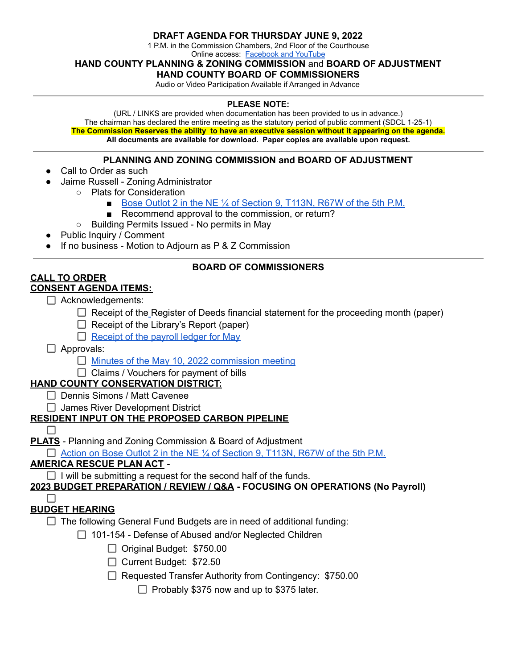#### **DRAFT AGENDA FOR THURSDAY JUNE 9, 2022**

1 P.M. in the Commission Chambers, 2nd Floor of the Courthouse

Online access: [Facebook and YouTube](https://www.youtube.com/channel/UCvLWYHrlPvaW_NulghxAXJg/videos)

**HAND COUNTY PLANNING & ZONING COMMISSION** and **BOARD OF ADJUSTMENT**

#### **HAND COUNTY BOARD OF COMMISSIONERS**

Audio or Video Participation Available if Arranged in Advance

#### **PLEASE NOTE:**

(URL / LINKS are provided when documentation has been provided to us in advance.) The chairman has declared the entire meeting as the statutory period of public comment (SDCL 1-25-1) **The Commission Reserves the ability to have an executive session without it appearing on the agenda. All documents are available for download. Paper copies are available upon request.**

#### **PLANNING AND ZONING COMMISSION and BOARD OF ADJUSTMENT**

- Call to Order as such
- Jaime Russell Zoning Administrator
	- Plats for Consideration
		- Bose Outlot 2 in the NE ¼ of [Section](https://hand.sdcounties.org/files/2022/06/2022.06.09-Plat-Bose-Outlot.pdf) 9, T113N, R67W of the 5th P.M.
		- Recommend approval to the commission, or return?
	- Building Permits Issued No permits in May
- **Public Inquiry / Comment**
- If no business Motion to Adjourn as  $P < Z$  Commission

# **CALL TO ORDER**

# **CONSENT AGENDA ITEMS:**

- $\Box$  Acknowledgements:
	- $\Box$  [R](https://hand.sdcounties.org/files/2022/03/2022.04.05-ROD-Financial-for-February.pdf)eceipt of the Register of Deeds financial statement for the proceeding month (paper)

**BOARD OF COMMISSIONERS**

- $\Box$  Receipt of the Library's Report (paper)
- $\Box$  [Receipt](https://hand.sdcounties.org/files/2022/06/2022.06.09-May-2022-payroll.pdf) of the payroll ledger for May
- □ Approvals:
	- $\Box$  Minutes of the May 10, 2022 [commission](https://hand.sdcounties.org/files/2022/06/2022.05.10-Commission-Minute-Draft.pdf) meeting
	- $\Box$  Claims / Vouchers for payment of bills

## **HAND COUNTY CONSERVATION DISTRICT:**

- □ Dennis Simons / Matt Cavenee
- $\Box$  James River Development District

## **RESIDENT INPUT ON THE PROPOSED CARBON PIPELINE**

П

 $\Box$ 

**PLATS** - Planning and Zoning Commission & Board of Adjustment

 $\Box$  Action on Bose Outlot 2 in the NE  $\%$  of [Section](https://hand.sdcounties.org/files/2022/06/2022.06.09-Plat-Bose-Outlot.pdf) 9, T113N, R67W of the 5th P.M.

## **AMERICA RESCUE PLAN ACT** -

 $\Box$  I will be submitting a request for the second half of the funds.

#### **2023 BUDGET PREPARATION / REVIEW / Q&A - FOCUSING ON OPERATIONS (No Payroll)**

## **BUDGET HEARING**

 $\Box$  The following General Fund Budgets are in need of additional funding:

- $\Box$  101-154 Defense of Abused and/or Neglected Children
	- Original Budget: \$750.00
	- Current Budget: \$72.50
	- Requested Transfer Authority from Contingency: \$750.00

 $\Box$  Probably \$375 now and up to \$375 later.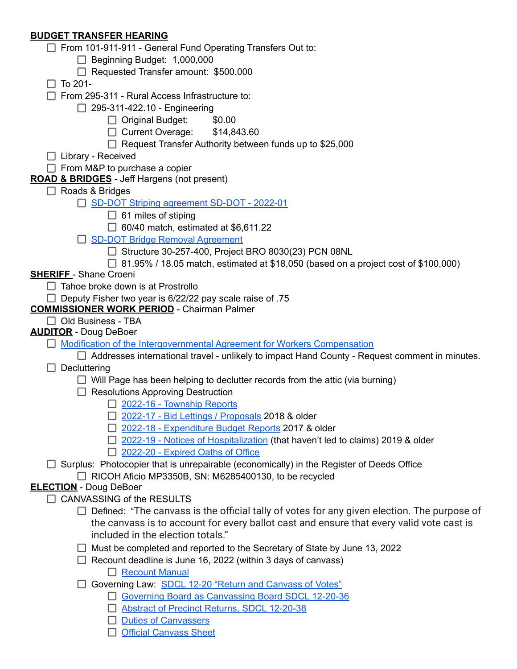## **BUDGET TRANSFER HEARING**

| $\Box$ From 101-911-911 - General Fund Operating Transfers Out to:                                                   |
|----------------------------------------------------------------------------------------------------------------------|
| $\Box$ Beginning Budget: 1,000,000                                                                                   |
| Requested Transfer amount: \$500,000                                                                                 |
| $\Box$ To 201-                                                                                                       |
| $\Box$ From 295-311 - Rural Access Infrastructure to:                                                                |
| $\Box$ 295-311-422.10 - Engineering                                                                                  |
| $\Box$ Original Budget:<br>\$0.00                                                                                    |
| $\Box$ Current Overage: \$14,843.60                                                                                  |
| $\Box$ Request Transfer Authority between funds up to \$25,000                                                       |
| □ Library - Received                                                                                                 |
| $\Box$ From M&P to purchase a copier                                                                                 |
| <b>ROAD &amp; BRIDGES</b> - Jeff Hargens (not present)                                                               |
| $\Box$ Roads & Bridges                                                                                               |
| SD-DOT Striping agreement SD-DOT - 2022-01                                                                           |
| $\Box$ 61 miles of stiping                                                                                           |
| $\Box$ 60/40 match, estimated at \$6,611.22                                                                          |
| SD-DOT Bridge Removal Agreement                                                                                      |
| □ Structure 30-257-400, Project BRO 8030(23) PCN 08NL                                                                |
| $\Box$ 81.95% / 18.05 match, estimated at \$18,050 (based on a project cost of \$100,000)                            |
| <b>SHERIFF</b> - Shane Croeni                                                                                        |
| $\Box$ Tahoe broke down is at Prostrollo                                                                             |
| $\Box$ Deputy Fisher two year is 6/22/22 pay scale raise of .75<br><b>COMMISSIONER WORK PERIOD</b> - Chairman Palmer |
| $\Box$ Old Business - TBA                                                                                            |
| <b>AUDITOR</b> - Doug DeBoer                                                                                         |
| Modification of the Intergovernmental Agreement for Workers Compensation                                             |
| $\Box$ Addresses international travel - unlikely to impact Hand County - Request comment in minutes.                 |
| Decluttering                                                                                                         |
| $\Box$ Will Page has been helping to declutter records from the attic (via burning)                                  |
| $\Box$ Resolutions Approving Destruction                                                                             |
| 2022-16 - Township Reports                                                                                           |
| □ 2022-17 - Bid Lettings / Proposals 2018 & older                                                                    |
| □ 2022-18 - Expenditure Budget Reports 2017 & older                                                                  |
| □ 2022-19 - Notices of Hospitalization (that haven't led to claims) 2019 & older                                     |
| 2022-20 - Expired Oaths of Office                                                                                    |
| □ Surplus: Photocopier that is unrepairable (economically) in the Register of Deeds Office                           |
| $\Box$ RICOH Aficio MP3350B, SN: M6285400130, to be recycled                                                         |
| <b>ELECTION</b> - Doug DeBoer                                                                                        |
| $\Box$ CANVASSING of the RESULTS                                                                                     |
| Defined: "The canvass is the official tally of votes for any given election. The purpose of                          |
| the canvass is to account for every ballot cast and ensure that every valid vote cast is                             |
| included in the election totals."                                                                                    |
| $\Box$ Must be completed and reported to the Secretary of State by June 13, 2022                                     |
| $\Box$ Recount deadline is June 16, 2022 (within 3 days of canvass)                                                  |
| <b>Recount Manual</b>                                                                                                |
| Governing Law: SDCL 12-20 "Return and Canvass of Votes"                                                              |
| Governing Board as Canvassing Board SDCL 12-20-36                                                                    |
| Abstract of Precinct Returns, SDCL 12-20-38                                                                          |
| <b>Duties of Canvassers</b>                                                                                          |
| <b>Official Canvass Sheet</b>                                                                                        |